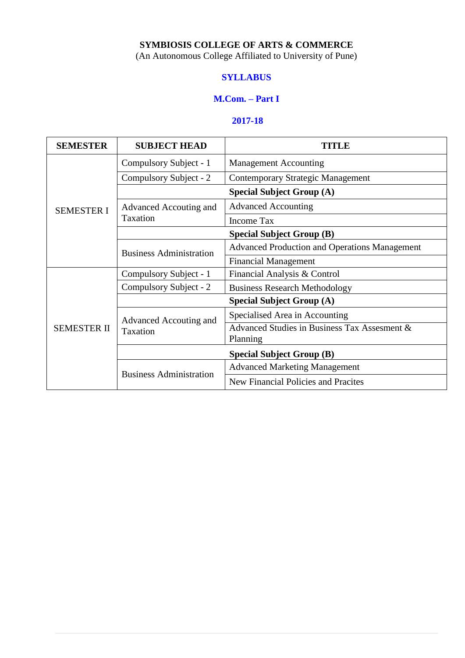## **SYMBIOSIS COLLEGE OF ARTS & COMMERCE**

(An Autonomous College Affiliated to University of Pune)

#### **SYLLABUS**

#### **M.Com. – Part I**

#### **2017-18**

| <b>SEMESTER</b>    | <b>SUBJECT HEAD</b>              |                                                          |  |
|--------------------|----------------------------------|----------------------------------------------------------|--|
|                    | Compulsory Subject - 1           | <b>Management Accounting</b>                             |  |
|                    | Compulsory Subject - 2           | <b>Contemporary Strategic Management</b>                 |  |
|                    |                                  | <b>Special Subject Group (A)</b>                         |  |
| <b>SEMESTER I</b>  | Advanced Accouting and           | <b>Advanced Accounting</b>                               |  |
|                    | Taxation                         | Income Tax                                               |  |
|                    |                                  | <b>Special Subject Group (B)</b>                         |  |
|                    | <b>Business Administration</b>   | <b>Advanced Production and Operations Management</b>     |  |
|                    |                                  | <b>Financial Management</b>                              |  |
|                    | Compulsory Subject - 1           | Financial Analysis & Control                             |  |
|                    | Compulsory Subject - 2           | <b>Business Research Methodology</b>                     |  |
|                    |                                  | <b>Special Subject Group (A)</b>                         |  |
|                    | Advanced Accouting and           | Specialised Area in Accounting                           |  |
| <b>SEMESTER II</b> | Taxation                         | Advanced Studies in Business Tax Assesment &<br>Planning |  |
|                    | <b>Special Subject Group (B)</b> |                                                          |  |
|                    | <b>Business Administration</b>   | <b>Advanced Marketing Management</b>                     |  |
|                    |                                  | New Financial Policies and Pracites                      |  |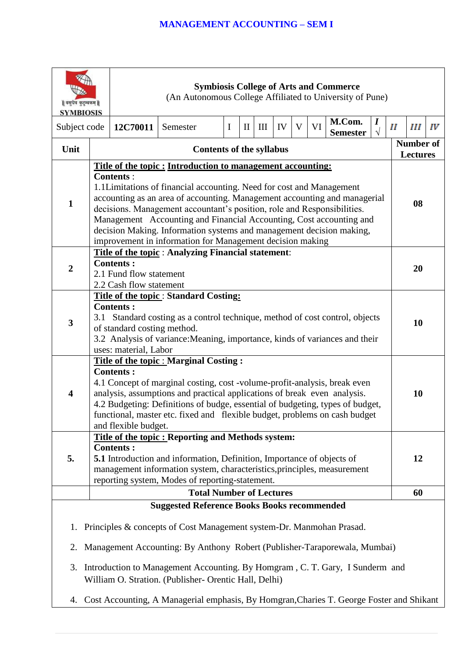| वसुधैव कुटुम्बकम्   <br><b>SYMBIOSIS</b> |                                                                                                                                                                                                                                                                                                                                                                                                                                                                                                                             |                                          | (An Autonomous College Affiliated to University of Pune)                                                                                                                                                                                                                                                                                                              |             |              |   |    |   |    | <b>Symbiosis College of Arts and Commerce</b> |                                |   |                                     |    |
|------------------------------------------|-----------------------------------------------------------------------------------------------------------------------------------------------------------------------------------------------------------------------------------------------------------------------------------------------------------------------------------------------------------------------------------------------------------------------------------------------------------------------------------------------------------------------------|------------------------------------------|-----------------------------------------------------------------------------------------------------------------------------------------------------------------------------------------------------------------------------------------------------------------------------------------------------------------------------------------------------------------------|-------------|--------------|---|----|---|----|-----------------------------------------------|--------------------------------|---|-------------------------------------|----|
| Subject code                             |                                                                                                                                                                                                                                                                                                                                                                                                                                                                                                                             | 12C70011                                 | Semester                                                                                                                                                                                                                                                                                                                                                              | $\mathbf I$ | $\mathbf{I}$ | Ш | IV | V | VI | M.Com.<br><b>Semester</b>                     | $\boldsymbol{I}$<br>$\sqrt{ }$ | П | Ш                                   | IV |
| Unit                                     |                                                                                                                                                                                                                                                                                                                                                                                                                                                                                                                             |                                          | <b>Contents of the syllabus</b>                                                                                                                                                                                                                                                                                                                                       |             |              |   |    |   |    |                                               |                                |   | <b>Number of</b><br><b>Lectures</b> |    |
| $\mathbf{1}$                             | Title of the topic: Introduction to management accounting:<br><b>Contents:</b><br>1.1 Limitations of financial accounting. Need for cost and Management<br>accounting as an area of accounting. Management accounting and managerial<br>decisions. Management accountant's position, role and Responsibilities.<br>Management Accounting and Financial Accounting, Cost accounting and<br>decision Making. Information systems and management decision making,<br>improvement in information for Management decision making |                                          |                                                                                                                                                                                                                                                                                                                                                                       |             |              |   | 08 |   |    |                                               |                                |   |                                     |    |
| $\overline{2}$                           | Title of the topic : Analyzing Financial statement:<br><b>Contents:</b><br>2.1 Fund flow statement<br>2.2 Cash flow statement                                                                                                                                                                                                                                                                                                                                                                                               |                                          |                                                                                                                                                                                                                                                                                                                                                                       | 20          |              |   |    |   |    |                                               |                                |   |                                     |    |
| 3                                        | Title of the topic: Standard Costing:<br><b>Contents:</b><br>3.1 Standard costing as a control technique, method of cost control, objects<br>of standard costing method.<br>3.2 Analysis of variance: Meaning, importance, kinds of variances and their<br>uses: material, Labor                                                                                                                                                                                                                                            |                                          |                                                                                                                                                                                                                                                                                                                                                                       |             | 10           |   |    |   |    |                                               |                                |   |                                     |    |
| 4                                        |                                                                                                                                                                                                                                                                                                                                                                                                                                                                                                                             | <b>Contents:</b><br>and flexible budget. | <b>Title of the topic : Marginal Costing:</b><br>4.1 Concept of marginal costing, cost -volume-profit-analysis, break even<br>analysis, assumptions and practical applications of break even analysis.<br>4.2 Budgeting: Definitions of budge, essential of budgeting, types of budget,<br>functional, master etc. fixed and flexible budget, problems on cash budget |             |              |   |    |   |    |                                               |                                |   | 10                                  |    |
| 5.                                       |                                                                                                                                                                                                                                                                                                                                                                                                                                                                                                                             | <b>Contents:</b>                         | Title of the topic: Reporting and Methods system:<br><b>5.1</b> Introduction and information, Definition, Importance of objects of<br>management information system, characteristics, principles, measurement<br>reporting system, Modes of reporting-statement.                                                                                                      |             |              |   |    |   |    |                                               |                                |   | 12                                  |    |
|                                          |                                                                                                                                                                                                                                                                                                                                                                                                                                                                                                                             |                                          | <b>Total Number of Lectures</b>                                                                                                                                                                                                                                                                                                                                       |             |              |   |    |   |    |                                               |                                |   | 60                                  |    |
|                                          |                                                                                                                                                                                                                                                                                                                                                                                                                                                                                                                             |                                          | <b>Suggested Reference Books Books recommended</b>                                                                                                                                                                                                                                                                                                                    |             |              |   |    |   |    |                                               |                                |   |                                     |    |
| 1.<br>2.<br>3.                           |                                                                                                                                                                                                                                                                                                                                                                                                                                                                                                                             |                                          | Principles & concepts of Cost Management system-Dr. Manmohan Prasad.<br>Management Accounting: By Anthony Robert (Publisher-Taraporewala, Mumbai)<br>Introduction to Management Accounting. By Homgram, C. T. Gary, I Sunderm and<br>William O. Stration. (Publisher- Orentic Hall, Delhi)                                                                            |             |              |   |    |   |    |                                               |                                |   |                                     |    |
| 4.                                       |                                                                                                                                                                                                                                                                                                                                                                                                                                                                                                                             |                                          | Cost Accounting, A Managerial emphasis, By Homgran, Charies T. George Foster and Shikant                                                                                                                                                                                                                                                                              |             |              |   |    |   |    |                                               |                                |   |                                     |    |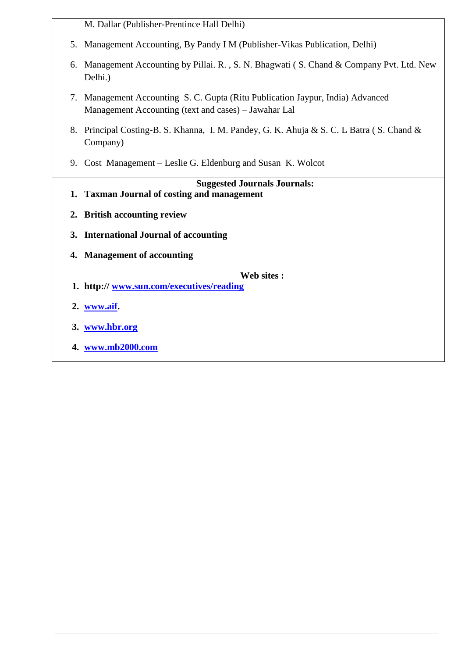|    | M. Dallar (Publisher-Prentince Hall Delhi)                                                                                             |  |  |
|----|----------------------------------------------------------------------------------------------------------------------------------------|--|--|
|    | 5. Management Accounting, By Pandy I M (Publisher-Vikas Publication, Delhi)                                                            |  |  |
| 6. | Management Accounting by Pillai. R., S. N. Bhagwati (S. Chand & Company Pvt. Ltd. New<br>Delhi.)                                       |  |  |
|    | 7. Management Accounting S. C. Gupta (Ritu Publication Jaypur, India) Advanced<br>Management Accounting (text and cases) – Jawahar Lal |  |  |
|    | 8. Principal Costing-B. S. Khanna, I. M. Pandey, G. K. Ahuja & S. C. L Batra (S. Chand &<br>Company)                                   |  |  |
|    | 9. Cost Management – Leslie G. Eldenburg and Susan K. Wolcot                                                                           |  |  |
|    |                                                                                                                                        |  |  |
|    |                                                                                                                                        |  |  |
|    | <b>Suggested Journals Journals:</b><br>1. Taxman Journal of costing and management                                                     |  |  |
|    | 2. British accounting review                                                                                                           |  |  |
|    | 3. International Journal of accounting                                                                                                 |  |  |
| 4. | <b>Management of accounting</b>                                                                                                        |  |  |
|    |                                                                                                                                        |  |  |
|    | Web sites:<br>1. http://www.sun.com/executives/reading                                                                                 |  |  |
|    | 2. www.aif.                                                                                                                            |  |  |

**4. [www.mb2000.com](http://www.mb2000.com/)**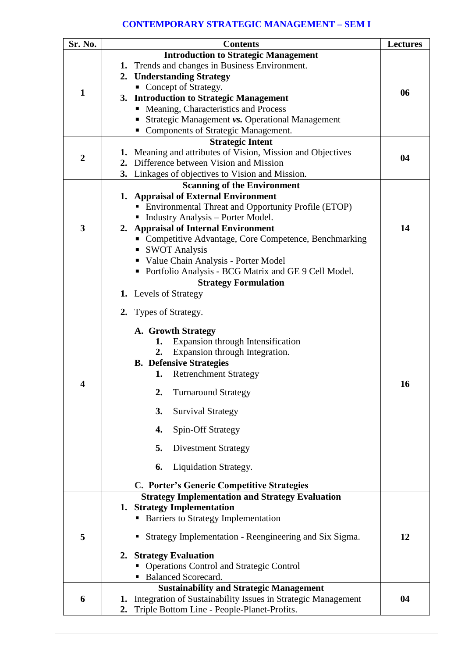## **CONTEMPORARY STRATEGIC MANAGEMENT – SEM I**

| Sr. No.      | <b>Contents</b>                                                    | <b>Lectures</b> |
|--------------|--------------------------------------------------------------------|-----------------|
|              | <b>Introduction to Strategic Management</b>                        |                 |
|              | 1. Trends and changes in Business Environment.                     |                 |
|              | 2. Understanding Strategy                                          |                 |
| $\mathbf{1}$ | • Concept of Strategy.                                             | 06              |
|              | 3. Introduction to Strategic Management                            |                 |
|              | • Meaning, Characteristics and Process                             |                 |
|              | Strategic Management vs. Operational Management                    |                 |
|              | <b>Components of Strategic Management.</b>                         |                 |
|              | <b>Strategic Intent</b>                                            |                 |
| 2            | 1. Meaning and attributes of Vision, Mission and Objectives        | 04              |
|              | Difference between Vision and Mission<br>2.                        |                 |
|              | 3. Linkages of objectives to Vision and Mission.                   |                 |
|              | <b>Scanning of the Environment</b>                                 |                 |
|              | 1. Appraisal of External Environment                               |                 |
|              | <b>Environmental Threat and Opportunity Profile (ETOP)</b>         |                 |
|              | • Industry Analysis – Porter Model.                                |                 |
| 3            | 2. Appraisal of Internal Environment                               | 14              |
|              | • Competitive Advantage, Core Competence, Benchmarking             |                 |
|              | ■ SWOT Analysis                                                    |                 |
|              | Value Chain Analysis - Porter Model                                |                 |
|              | • Portfolio Analysis - BCG Matrix and GE 9 Cell Model.             |                 |
|              | <b>Strategy Formulation</b>                                        |                 |
|              | <b>1.</b> Levels of Strategy                                       |                 |
|              | 2. Types of Strategy.                                              |                 |
|              |                                                                    |                 |
|              | A. Growth Strategy                                                 |                 |
|              | Expansion through Intensification<br>1.                            |                 |
|              | Expansion through Integration.<br>2.                               |                 |
|              | <b>B.</b> Defensive Strategies                                     |                 |
|              | <b>Retrenchment Strategy</b><br>1.                                 |                 |
| 4            | 2.<br><b>Turnaround Strategy</b>                                   | 16              |
|              | 3.<br><b>Survival Strategy</b>                                     |                 |
|              | 4.<br><b>Spin-Off Strategy</b>                                     |                 |
|              | 5.                                                                 |                 |
|              | <b>Divestment Strategy</b>                                         |                 |
|              | Liquidation Strategy.<br>6.                                        |                 |
|              | C. Porter's Generic Competitive Strategies                         |                 |
|              | <b>Strategy Implementation and Strategy Evaluation</b>             |                 |
|              | 1. Strategy Implementation                                         |                 |
|              | <b>Barriers to Strategy Implementation</b><br>п                    |                 |
| 5            | Strategy Implementation - Reengineering and Six Sigma.<br>ш        | 12              |
|              | 2. Strategy Evaluation                                             |                 |
|              | <b>Operations Control and Strategic Control</b><br>п               |                 |
|              | Balanced Scorecard.                                                |                 |
|              | <b>Sustainability and Strategic Management</b>                     |                 |
| 6            | Integration of Sustainability Issues in Strategic Management<br>1. | 04              |
|              | Triple Bottom Line - People-Planet-Profits.<br>2.                  |                 |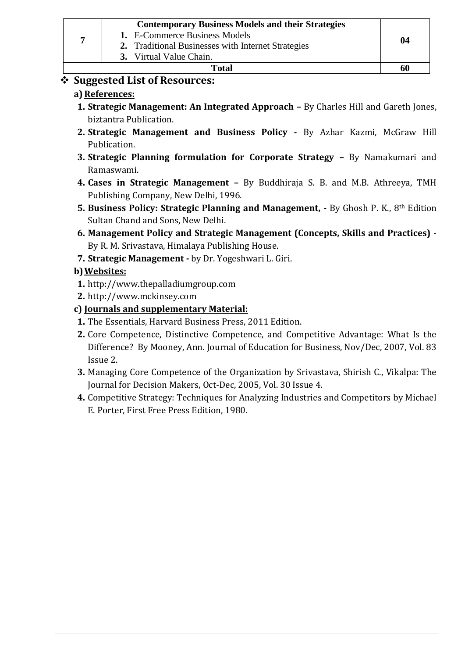|     | <b>Contemporary Business Models and their Strategies</b><br>1. E-Commerce Business Models<br>2. Traditional Businesses with Internet Strategies<br>3. Virtual Value Chain. | 04 |
|-----|----------------------------------------------------------------------------------------------------------------------------------------------------------------------------|----|
|     | Total                                                                                                                                                                      | 60 |
| ▲ ⌒ | .                                                                                                                                                                          |    |

# **Suggested List of Resources:**

# **a) References:**

- **1. Strategic Management: An Integrated Approach –** By Charles Hill and Gareth Jones, biztantra Publication.
- **2. Strategic Management and Business Policy -** By Azhar Kazmi, McGraw Hill Publication.
- **3. Strategic Planning formulation for Corporate Strategy –** By Namakumari and Ramaswami.
- **4. Cases in Strategic Management –** By Buddhiraja S. B. and M.B. Athreeya, TMH Publishing Company, New Delhi, 1996.
- **5. Business Policy: Strategic Planning and Management, -** By Ghosh P. K., 8th Edition Sultan Chand and Sons, New Delhi.
- **6. Management Policy and Strategic Management (Concepts, Skills and Practices)** By R. M. Srivastava, Himalaya Publishing House.
- **7. Strategic Management -** by Dr. Yogeshwari L. Giri.

# **b)Websites:**

- **1.** http://www.thepalladiumgroup.com
- **2.** http://www.mckinsey.com

## **c) Journals and supplementary Material:**

- **1.** The Essentials, Harvard Business Press, 2011 Edition.
- **2.** Core Competence, Distinctive Competence, and Competitive Advantage: What Is the Difference? By Mooney, Ann. Journal of Education for Business, Nov/Dec, 2007, Vol. 83 Issue 2.
- **3.** Managing Core Competence of the Organization by Srivastava, Shirish C., Vikalpa: The Journal for Decision Makers, Oct-Dec, 2005, Vol. 30 Issue 4.
- **4.** Competitive Strategy: Techniques for Analyzing Industries and Competitors by Michael E. Porter, First Free Press Edition, 1980.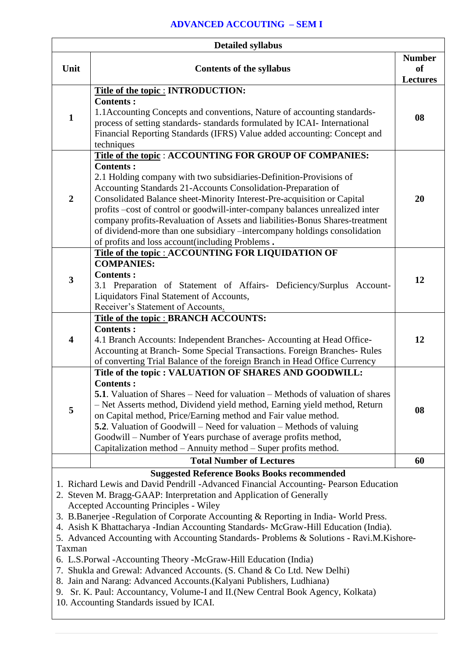#### **ADVANCED ACCOUTING – SEM I**

| <b>Detailed syllabus</b> |                                                                                                                                                                                                                                                                                                                                                                                                                                                                                                                                                                                                                                                                                                                                                                                                                                                                                                      |                                        |  |
|--------------------------|------------------------------------------------------------------------------------------------------------------------------------------------------------------------------------------------------------------------------------------------------------------------------------------------------------------------------------------------------------------------------------------------------------------------------------------------------------------------------------------------------------------------------------------------------------------------------------------------------------------------------------------------------------------------------------------------------------------------------------------------------------------------------------------------------------------------------------------------------------------------------------------------------|----------------------------------------|--|
| Unit                     | <b>Contents of the syllabus</b>                                                                                                                                                                                                                                                                                                                                                                                                                                                                                                                                                                                                                                                                                                                                                                                                                                                                      | <b>Number</b><br>of<br><b>Lectures</b> |  |
| $\mathbf{1}$             | Title of the topic : INTRODUCTION:<br><b>Contents:</b><br>1.1 Accounting Concepts and conventions, Nature of accounting standards-<br>process of setting standards-standards formulated by ICAI- International<br>Financial Reporting Standards (IFRS) Value added accounting: Concept and<br>techniques                                                                                                                                                                                                                                                                                                                                                                                                                                                                                                                                                                                             | 08                                     |  |
| $\overline{2}$           | Title of the topic : ACCOUNTING FOR GROUP OF COMPANIES:<br><b>Contents:</b><br>2.1 Holding company with two subsidiaries-Definition-Provisions of<br>Accounting Standards 21-Accounts Consolidation-Preparation of<br>Consolidated Balance sheet-Minority Interest-Pre-acquisition or Capital<br>profits -cost of control or goodwill-inter-company balances unrealized inter<br>company profits-Revaluation of Assets and liabilities-Bonus Shares-treatment<br>of dividend-more than one subsidiary -intercompany holdings consolidation<br>of profits and loss account(including Problems.                                                                                                                                                                                                                                                                                                        | 20                                     |  |
| 3                        | Title of the topic : ACCOUNTING FOR LIQUIDATION OF<br><b>COMPANIES:</b><br><b>Contents:</b><br>3.1 Preparation of Statement of Affairs- Deficiency/Surplus Account-<br>Liquidators Final Statement of Accounts,<br>Receiver's Statement of Accounts.                                                                                                                                                                                                                                                                                                                                                                                                                                                                                                                                                                                                                                                 | 12                                     |  |
| 4                        | Title of the topic : BRANCH ACCOUNTS:<br><b>Contents:</b><br>4.1 Branch Accounts: Independent Branches- Accounting at Head Office-<br>Accounting at Branch- Some Special Transactions. Foreign Branches- Rules<br>of converting Trial Balance of the foreign Branch in Head Office Currency                                                                                                                                                                                                                                                                                                                                                                                                                                                                                                                                                                                                          | 12                                     |  |
| 5                        | Title of the topic : VALUATION OF SHARES AND GOODWILL:<br><b>Contents:</b><br><b>5.1</b> . Valuation of Shares – Need for valuation – Methods of valuation of shares<br>- Net Asserts method, Dividend yield method, Earning yield method, Return<br>on Capital method, Price/Earning method and Fair value method.<br><b>5.2</b> . Valuation of Goodwill – Need for valuation – Methods of valuing<br>Goodwill – Number of Years purchase of average profits method,<br>Capitalization method - Annuity method - Super profits method.                                                                                                                                                                                                                                                                                                                                                              | 08                                     |  |
|                          | <b>Total Number of Lectures</b>                                                                                                                                                                                                                                                                                                                                                                                                                                                                                                                                                                                                                                                                                                                                                                                                                                                                      | 60                                     |  |
| Taxman                   | <b>Suggested Reference Books Books recommended</b><br>1. Richard Lewis and David Pendrill - Advanced Financial Accounting-Pearson Education<br>2. Steven M. Bragg-GAAP: Interpretation and Application of Generally<br>Accepted Accounting Principles - Wiley<br>3. B.Banerjee - Regulation of Corporate Accounting & Reporting in India- World Press.<br>4. Asish K Bhattacharya - Indian Accounting Standards- McGraw-Hill Education (India).<br>5. Advanced Accounting with Accounting Standards- Problems & Solutions - Ravi.M.Kishore-<br>6. L.S.Porwal - Accounting Theory - McGraw-Hill Education (India)<br>7. Shukla and Grewal: Advanced Accounts. (S. Chand & Co Ltd. New Delhi)<br>8. Jain and Narang: Advanced Accounts. (Kalyani Publishers, Ludhiana)<br>9. Sr. K. Paul: Accountancy, Volume-I and II. (New Central Book Agency, Kolkata)<br>10. Accounting Standards issued by ICAI. |                                        |  |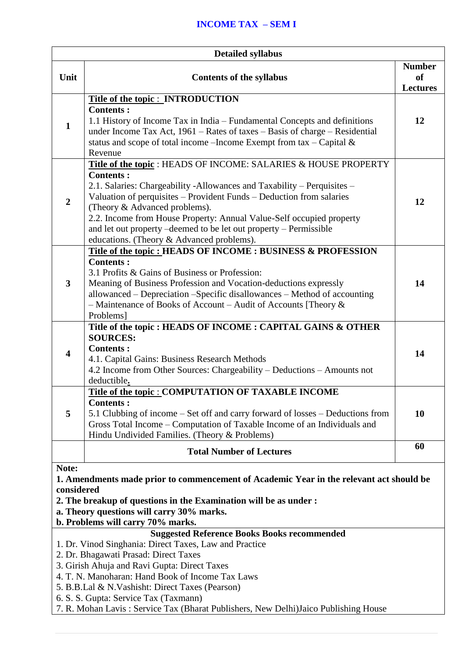## **INCOME TAX – SEM I**

| <b>Detailed syllabus</b>                                                                                                                                                                                                                                              |                                                                                                                                                                                                                                                                                                                                                                                                                                                                    |                                               |  |
|-----------------------------------------------------------------------------------------------------------------------------------------------------------------------------------------------------------------------------------------------------------------------|--------------------------------------------------------------------------------------------------------------------------------------------------------------------------------------------------------------------------------------------------------------------------------------------------------------------------------------------------------------------------------------------------------------------------------------------------------------------|-----------------------------------------------|--|
| Unit                                                                                                                                                                                                                                                                  | <b>Contents of the syllabus</b>                                                                                                                                                                                                                                                                                                                                                                                                                                    | <b>Number</b><br><b>of</b><br><b>Lectures</b> |  |
| $\mathbf{1}$                                                                                                                                                                                                                                                          | <b>Title of the topic: INTRODUCTION</b><br><b>Contents:</b><br>1.1 History of Income Tax in India – Fundamental Concepts and definitions<br>under Income Tax Act, $1961 -$ Rates of taxes - Basis of charge - Residential<br>status and scope of total income – Income Exempt from tax – Capital $\&$<br>Revenue                                                                                                                                                   | 12                                            |  |
| $\overline{2}$                                                                                                                                                                                                                                                        | Title of the topic : HEADS OF INCOME: SALARIES & HOUSE PROPERTY<br><b>Contents:</b><br>2.1. Salaries: Chargeability -Allowances and Taxability - Perquisites -<br>Valuation of perquisites - Provident Funds - Deduction from salaries<br>(Theory & Advanced problems).<br>2.2. Income from House Property: Annual Value-Self occupied property<br>and let out property – deemed to be let out property – Permissible<br>educations. (Theory & Advanced problems). | 12                                            |  |
| $\mathbf{3}$                                                                                                                                                                                                                                                          | Title of the topic: HEADS OF INCOME: BUSINESS & PROFESSION<br><b>Contents:</b><br>3.1 Profits & Gains of Business or Profession:<br>Meaning of Business Profession and Vocation-deductions expressly<br>allowanced – Depreciation – Specific disallowances – Method of accounting<br>- Maintenance of Books of Account - Audit of Accounts [Theory $\&$<br>Problems]                                                                                               | 14                                            |  |
| $\overline{\mathbf{4}}$                                                                                                                                                                                                                                               | Title of the topic : HEADS OF INCOME : CAPITAL GAINS & OTHER<br><b>SOURCES:</b><br><b>Contents:</b><br>4.1. Capital Gains: Business Research Methods<br>4.2 Income from Other Sources: Chargeability – Deductions – Amounts not<br>deductible.                                                                                                                                                                                                                     | 14                                            |  |
| 5                                                                                                                                                                                                                                                                     | Title of the topic : COMPUTATION OF TAXABLE INCOME<br><b>Contents:</b><br>5.1 Clubbing of income – Set off and carry forward of losses – Deductions from<br>Gross Total Income – Computation of Taxable Income of an Individuals and<br>Hindu Undivided Families. (Theory & Problems)                                                                                                                                                                              | 10                                            |  |
|                                                                                                                                                                                                                                                                       | <b>Total Number of Lectures</b>                                                                                                                                                                                                                                                                                                                                                                                                                                    | 60                                            |  |
| Note:<br>1. Amendments made prior to commencement of Academic Year in the relevant act should be<br>considered<br>2. The breakup of questions in the Examination will be as under :<br>a. Theory questions will carry 30% marks.<br>b. Problems will carry 70% marks. |                                                                                                                                                                                                                                                                                                                                                                                                                                                                    |                                               |  |
|                                                                                                                                                                                                                                                                       | <b>Suggested Reference Books Books recommended</b><br>1. Dr. Vinod Singhania: Direct Taxes, Law and Practice<br>2. Dr. Bhagawati Prasad: Direct Taxes<br>3. Girish Ahuja and Ravi Gupta: Direct Taxes<br>4. T. N. Manoharan: Hand Book of Income Tax Laws<br>5. B.B.Lal & N.Vashisht: Direct Taxes (Pearson)<br>6. S. S. Gupta: Service Tax (Taxmann)<br>7. R. Mohan Lavis: Service Tax (Bharat Publishers, New Delhi) Jaico Publishing House                      |                                               |  |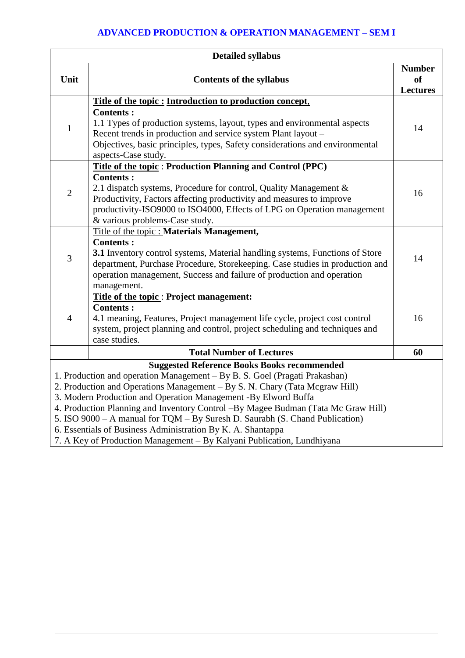## **ADVANCED PRODUCTION & OPERATION MANAGEMENT – SEM I**

| <b>Detailed syllabus</b>                                                                                                                                                                                                                                                                                                                                                                                                                                                                                                                                                                        |                                                                                                                                                                                                                                                                            |                                               |  |
|-------------------------------------------------------------------------------------------------------------------------------------------------------------------------------------------------------------------------------------------------------------------------------------------------------------------------------------------------------------------------------------------------------------------------------------------------------------------------------------------------------------------------------------------------------------------------------------------------|----------------------------------------------------------------------------------------------------------------------------------------------------------------------------------------------------------------------------------------------------------------------------|-----------------------------------------------|--|
| Unit                                                                                                                                                                                                                                                                                                                                                                                                                                                                                                                                                                                            | <b>Contents of the syllabus</b>                                                                                                                                                                                                                                            | <b>Number</b><br><b>of</b><br><b>Lectures</b> |  |
|                                                                                                                                                                                                                                                                                                                                                                                                                                                                                                                                                                                                 | Title of the topic: Introduction to production concept,                                                                                                                                                                                                                    |                                               |  |
| $\mathbf{1}$                                                                                                                                                                                                                                                                                                                                                                                                                                                                                                                                                                                    | <b>Contents:</b><br>1.1 Types of production systems, layout, types and environmental aspects<br>Recent trends in production and service system Plant layout -<br>Objectives, basic principles, types, Safety considerations and environmental<br>aspects-Case study.       | 14                                            |  |
|                                                                                                                                                                                                                                                                                                                                                                                                                                                                                                                                                                                                 | Title of the topic: Production Planning and Control (PPC)                                                                                                                                                                                                                  |                                               |  |
| $\overline{2}$                                                                                                                                                                                                                                                                                                                                                                                                                                                                                                                                                                                  | <b>Contents:</b><br>2.1 dispatch systems, Procedure for control, Quality Management &<br>Productivity, Factors affecting productivity and measures to improve<br>productivity-ISO9000 to ISO4000, Effects of LPG on Operation management<br>& various problems-Case study. | 16                                            |  |
|                                                                                                                                                                                                                                                                                                                                                                                                                                                                                                                                                                                                 | Title of the topic : Materials Management,                                                                                                                                                                                                                                 |                                               |  |
| 3                                                                                                                                                                                                                                                                                                                                                                                                                                                                                                                                                                                               | <b>Contents:</b><br>3.1 Inventory control systems, Material handling systems, Functions of Store<br>department, Purchase Procedure, Storekeeping. Case studies in production and<br>operation management, Success and failure of production and operation<br>management.   | 14                                            |  |
|                                                                                                                                                                                                                                                                                                                                                                                                                                                                                                                                                                                                 | <b>Title of the topic: Project management:</b>                                                                                                                                                                                                                             |                                               |  |
| $\overline{4}$                                                                                                                                                                                                                                                                                                                                                                                                                                                                                                                                                                                  | <b>Contents:</b><br>4.1 meaning, Features, Project management life cycle, project cost control<br>system, project planning and control, project scheduling and techniques and<br>case studies.                                                                             | 16                                            |  |
|                                                                                                                                                                                                                                                                                                                                                                                                                                                                                                                                                                                                 | <b>Total Number of Lectures</b>                                                                                                                                                                                                                                            | 60                                            |  |
| <b>Suggested Reference Books Books recommended</b><br>1. Production and operation Management – By B. S. Goel (Pragati Prakashan)<br>2. Production and Operations Management - By S. N. Chary (Tata Mcgraw Hill)<br>3. Modern Production and Operation Management -By Elword Buffa<br>4. Production Planning and Inventory Control -By Magee Budman (Tata Mc Graw Hill)<br>5. ISO 9000 - A manual for TQM - By Suresh D. Saurabh (S. Chand Publication)<br>6. Essentials of Business Administration By K. A. Shantappa<br>7. A Key of Production Management – By Kalyani Publication, Lundhiyana |                                                                                                                                                                                                                                                                            |                                               |  |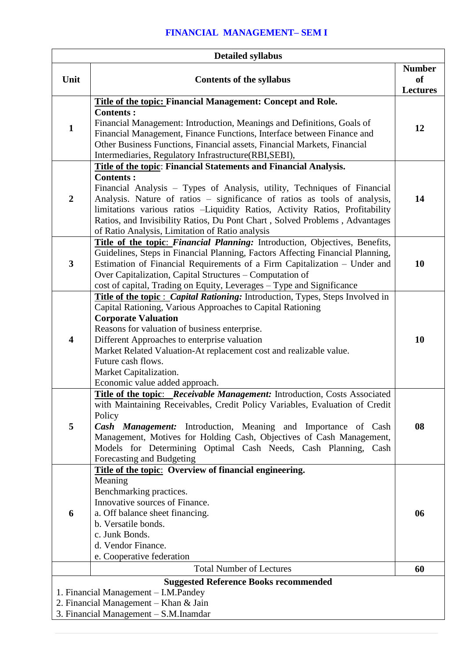# **FINANCIAL MANAGEMENT– SEM I**

| <b>Detailed syllabus</b> |                                                                                                                                                                                                                                                                                                                                                                                                                                                                 |                                               |  |
|--------------------------|-----------------------------------------------------------------------------------------------------------------------------------------------------------------------------------------------------------------------------------------------------------------------------------------------------------------------------------------------------------------------------------------------------------------------------------------------------------------|-----------------------------------------------|--|
| Unit                     | <b>Contents of the syllabus</b>                                                                                                                                                                                                                                                                                                                                                                                                                                 | <b>Number</b><br><b>of</b><br><b>Lectures</b> |  |
| $\mathbf{1}$             | Title of the topic: Financial Management: Concept and Role.<br><b>Contents:</b><br>Financial Management: Introduction, Meanings and Definitions, Goals of<br>Financial Management, Finance Functions, Interface between Finance and<br>Other Business Functions, Financial assets, Financial Markets, Financial<br>Intermediaries, Regulatory Infrastructure(RBI,SEBI),                                                                                         | 12                                            |  |
| $\overline{2}$           | Title of the topic: Financial Statements and Financial Analysis.<br><b>Contents:</b><br>Financial Analysis – Types of Analysis, utility, Techniques of Financial<br>Analysis. Nature of ratios - significance of ratios as tools of analysis,<br>limitations various ratios -Liquidity Ratios, Activity Ratios, Profitability<br>Ratios, and Invisibility Ratios, Du Pont Chart, Solved Problems, Advantages<br>of Ratio Analysis, Limitation of Ratio analysis | 14                                            |  |
| $\overline{\mathbf{3}}$  | Title of the topic: Financial Planning: Introduction, Objectives, Benefits,<br>Guidelines, Steps in Financial Planning, Factors Affecting Financial Planning,<br>Estimation of Financial Requirements of a Firm Capitalization – Under and<br>Over Capitalization, Capital Structures – Computation of<br>cost of capital, Trading on Equity, Leverages - Type and Significance                                                                                 | 10                                            |  |
| 4                        | Title of the topic: <i>Capital Rationing</i> : Introduction, Types, Steps Involved in<br>Capital Rationing, Various Approaches to Capital Rationing<br><b>Corporate Valuation</b><br>Reasons for valuation of business enterprise.<br>Different Approaches to enterprise valuation<br>Market Related Valuation-At replacement cost and realizable value.<br>Future cash flows.<br>Market Capitalization.<br>Economic value added approach.                      | 10                                            |  |
| 5                        | <b>Title of the topic:</b> Receivable Management: Introduction, Costs Associated<br>with Maintaining Receivables, Credit Policy Variables, Evaluation of Credit<br>Policy<br><b>Cash Management:</b> Introduction, Meaning and Importance of Cash<br>Management, Motives for Holding Cash, Objectives of Cash Management,<br>Models for Determining Optimal Cash Needs, Cash Planning, Cash<br>Forecasting and Budgeting                                        | 08                                            |  |
| 6                        | Title of the topic: Overview of financial engineering.<br>Meaning<br>Benchmarking practices.<br>Innovative sources of Finance.<br>a. Off balance sheet financing.<br>b. Versatile bonds.<br>c. Junk Bonds.<br>d. Vendor Finance.<br>e. Cooperative federation                                                                                                                                                                                                   | 06                                            |  |
|                          | <b>Total Number of Lectures</b>                                                                                                                                                                                                                                                                                                                                                                                                                                 | 60                                            |  |
|                          | <b>Suggested Reference Books recommended</b><br>1. Financial Management - I.M.Pandey<br>2. Financial Management – Khan & Jain<br>3. Financial Management - S.M. Inamdar                                                                                                                                                                                                                                                                                         |                                               |  |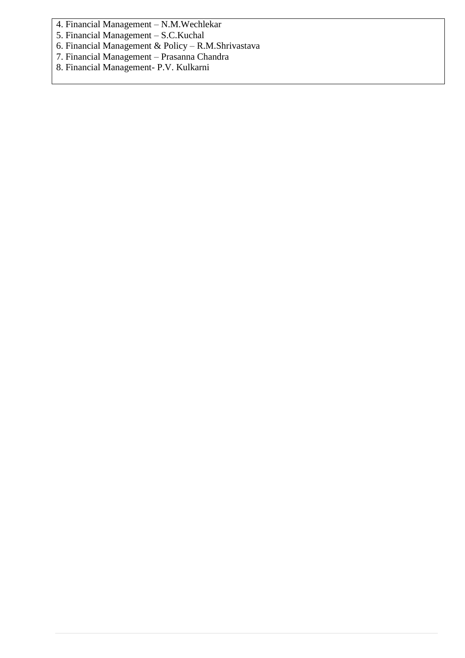4. Financial Management – N.M.Wechlekar

5. Financial Management – S.C.Kuchal

6. Financial Management & Policy – R.M.Shrivastava

7. Financial Management – Prasanna Chandra

8. Financial Management- P.V. Kulkarni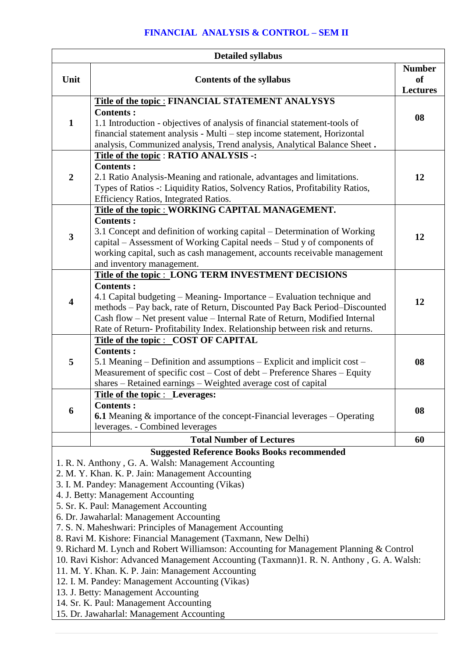## **FINANCIAL ANALYSIS & CONTROL – SEM II**

| <b>Detailed syllabus</b>                                                                                                                                 |                                                                                                                                                     |                            |  |
|----------------------------------------------------------------------------------------------------------------------------------------------------------|-----------------------------------------------------------------------------------------------------------------------------------------------------|----------------------------|--|
| Unit                                                                                                                                                     | <b>Contents of the syllabus</b>                                                                                                                     | <b>Number</b><br><b>of</b> |  |
|                                                                                                                                                          |                                                                                                                                                     | <b>Lectures</b>            |  |
|                                                                                                                                                          | <b>Title of the topic: FINANCIAL STATEMENT ANALYSYS</b>                                                                                             |                            |  |
|                                                                                                                                                          | <b>Contents:</b>                                                                                                                                    | 08                         |  |
| $\mathbf{1}$                                                                                                                                             | 1.1 Introduction - objectives of analysis of financial statement-tools of                                                                           |                            |  |
|                                                                                                                                                          | financial statement analysis - Multi – step income statement, Horizontal                                                                            |                            |  |
|                                                                                                                                                          | analysis, Communized analysis, Trend analysis, Analytical Balance Sheet.                                                                            |                            |  |
|                                                                                                                                                          | Title of the topic : RATIO ANALYSIS -:                                                                                                              |                            |  |
| $\boldsymbol{2}$                                                                                                                                         | <b>Contents:</b>                                                                                                                                    |                            |  |
|                                                                                                                                                          | 2.1 Ratio Analysis-Meaning and rationale, advantages and limitations.                                                                               | 12                         |  |
|                                                                                                                                                          | Types of Ratios -: Liquidity Ratios, Solvency Ratios, Profitability Ratios,                                                                         |                            |  |
|                                                                                                                                                          | Efficiency Ratios, Integrated Ratios.                                                                                                               |                            |  |
|                                                                                                                                                          | Title of the topic : WORKING CAPITAL MANAGEMENT.                                                                                                    |                            |  |
|                                                                                                                                                          | <b>Contents:</b>                                                                                                                                    |                            |  |
| $\overline{\mathbf{3}}$                                                                                                                                  | 3.1 Concept and definition of working capital – Determination of Working                                                                            | 12                         |  |
|                                                                                                                                                          | capital – Assessment of Working Capital needs – Stud y of components of                                                                             |                            |  |
|                                                                                                                                                          | working capital, such as cash management, accounts receivable management                                                                            |                            |  |
|                                                                                                                                                          | and inventory management.                                                                                                                           |                            |  |
|                                                                                                                                                          | Title of the topic : LONG TERM INVESTMENT DECISIONS                                                                                                 |                            |  |
|                                                                                                                                                          | <b>Contents:</b>                                                                                                                                    |                            |  |
| $\overline{\mathbf{4}}$                                                                                                                                  | 4.1 Capital budgeting – Meaning-Importance – Evaluation technique and                                                                               | 12                         |  |
|                                                                                                                                                          | methods - Pay back, rate of Return, Discounted Pay Back Period-Discounted                                                                           |                            |  |
|                                                                                                                                                          | Cash flow - Net present value - Internal Rate of Return, Modified Internal                                                                          |                            |  |
|                                                                                                                                                          | Rate of Return- Profitability Index. Relationship between risk and returns.                                                                         |                            |  |
|                                                                                                                                                          | Title of the topic : COST OF CAPITAL<br><b>Contents:</b>                                                                                            |                            |  |
|                                                                                                                                                          |                                                                                                                                                     |                            |  |
| 5                                                                                                                                                        | 5.1 Meaning – Definition and assumptions – Explicit and implicit cost –<br>Measurement of specific cost – Cost of debt – Preference Shares – Equity | 08                         |  |
|                                                                                                                                                          | shares - Retained earnings - Weighted average cost of capital                                                                                       |                            |  |
|                                                                                                                                                          | <b>Title of the topic : Leverages:</b>                                                                                                              |                            |  |
|                                                                                                                                                          | <b>Contents:</b>                                                                                                                                    |                            |  |
| 6                                                                                                                                                        | <b>6.1</b> Meaning $\&$ importance of the concept-Financial leverages $-$ Operating                                                                 | 08                         |  |
|                                                                                                                                                          | leverages. - Combined leverages                                                                                                                     |                            |  |
|                                                                                                                                                          |                                                                                                                                                     |                            |  |
|                                                                                                                                                          | <b>Total Number of Lectures</b>                                                                                                                     | 60                         |  |
|                                                                                                                                                          | <b>Suggested Reference Books Books recommended</b>                                                                                                  |                            |  |
|                                                                                                                                                          | 1. R. N. Anthony, G. A. Walsh: Management Accounting                                                                                                |                            |  |
|                                                                                                                                                          | 2. M. Y. Khan. K. P. Jain: Management Accounting                                                                                                    |                            |  |
|                                                                                                                                                          | 3. I. M. Pandey: Management Accounting (Vikas)<br>4. J. Betty: Management Accounting                                                                |                            |  |
|                                                                                                                                                          |                                                                                                                                                     |                            |  |
| 5. Sr. K. Paul: Management Accounting<br>6. Dr. Jawaharlal: Management Accounting                                                                        |                                                                                                                                                     |                            |  |
| 7. S. N. Maheshwari: Principles of Management Accounting                                                                                                 |                                                                                                                                                     |                            |  |
|                                                                                                                                                          |                                                                                                                                                     |                            |  |
| 8. Ravi M. Kishore: Financial Management (Taxmann, New Delhi)<br>9. Richard M. Lynch and Robert Williamson: Accounting for Management Planning & Control |                                                                                                                                                     |                            |  |
|                                                                                                                                                          | 10. Ravi Kishor: Advanced Management Accounting (Taxmann)1. R. N. Anthony, G. A. Walsh:                                                             |                            |  |
|                                                                                                                                                          | 11. M. Y. Khan. K. P. Jain: Management Accounting                                                                                                   |                            |  |
|                                                                                                                                                          | 12. I. M. Pandey: Management Accounting (Vikas)                                                                                                     |                            |  |
|                                                                                                                                                          | 13. J. Betty: Management Accounting                                                                                                                 |                            |  |
|                                                                                                                                                          | 14. Sr. K. Paul: Management Accounting                                                                                                              |                            |  |
|                                                                                                                                                          | 15. Dr. Jawaharlal: Management Accounting                                                                                                           |                            |  |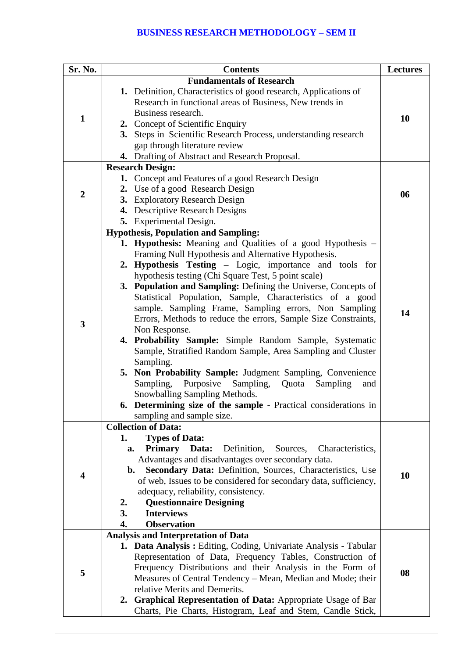#### **BUSINESS RESEARCH METHODOLOGY – SEM II**

| Sr. No.          | <b>Contents</b>                                                                                                              | <b>Lectures</b> |
|------------------|------------------------------------------------------------------------------------------------------------------------------|-----------------|
|                  | <b>Fundamentals of Research</b>                                                                                              |                 |
|                  | 1. Definition, Characteristics of good research, Applications of                                                             |                 |
|                  | Research in functional areas of Business, New trends in                                                                      |                 |
| $\mathbf{1}$     | Business research.                                                                                                           | 10              |
|                  | 2. Concept of Scientific Enquiry                                                                                             |                 |
|                  | 3. Steps in Scientific Research Process, understanding research                                                              |                 |
|                  | gap through literature review                                                                                                |                 |
|                  | 4. Drafting of Abstract and Research Proposal.                                                                               |                 |
|                  | <b>Research Design:</b>                                                                                                      |                 |
|                  | 1. Concept and Features of a good Research Design                                                                            |                 |
| $\boldsymbol{2}$ | 2. Use of a good Research Design                                                                                             | 06              |
|                  | 3. Exploratory Research Design                                                                                               |                 |
|                  | 4. Descriptive Research Designs                                                                                              |                 |
|                  | 5. Experimental Design.                                                                                                      |                 |
|                  | <b>Hypothesis, Population and Sampling:</b>                                                                                  |                 |
|                  | 1. Hypothesis: Meaning and Qualities of a good Hypothesis -                                                                  |                 |
|                  | Framing Null Hypothesis and Alternative Hypothesis.                                                                          |                 |
|                  | 2. Hypothesis Testing – Logic, importance and tools for                                                                      |                 |
|                  | hypothesis testing (Chi Square Test, 5 point scale)                                                                          |                 |
|                  | 3. Population and Sampling: Defining the Universe, Concepts of                                                               |                 |
|                  | Statistical Population, Sample, Characteristics of a good                                                                    |                 |
|                  | sample. Sampling Frame, Sampling errors, Non Sampling                                                                        | 14              |
| $\mathbf{3}$     | Errors, Methods to reduce the errors, Sample Size Constraints,                                                               |                 |
|                  | Non Response.<br>4. Probability Sample: Simple Random Sample, Systematic                                                     |                 |
|                  | Sample, Stratified Random Sample, Area Sampling and Cluster                                                                  |                 |
|                  | Sampling.                                                                                                                    |                 |
|                  | 5. Non Probability Sample: Judgment Sampling, Convenience                                                                    |                 |
|                  | Purposive<br>Sampling,<br>Sampling,<br>Quota<br>Sampling<br>and                                                              |                 |
|                  | Snowballing Sampling Methods.                                                                                                |                 |
|                  | 6. Determining size of the sample - Practical considerations in                                                              |                 |
|                  | sampling and sample size.                                                                                                    |                 |
|                  | <b>Collection of Data:</b>                                                                                                   |                 |
|                  | <b>Types of Data:</b><br>1.                                                                                                  |                 |
|                  | <b>Primary</b> Data:<br>Definition,<br>Sources,<br>Characteristics,<br>a.                                                    |                 |
|                  | Advantages and disadvantages over secondary data.                                                                            |                 |
| 4                | Secondary Data: Definition, Sources, Characteristics, Use<br>b.                                                              | 10              |
|                  | of web, Issues to be considered for secondary data, sufficiency,                                                             |                 |
|                  | adequacy, reliability, consistency.                                                                                          |                 |
|                  | <b>Questionnaire Designing</b><br>2.                                                                                         |                 |
|                  | <b>Interviews</b><br>3.                                                                                                      |                 |
|                  | <b>Observation</b><br>4.                                                                                                     |                 |
|                  | <b>Analysis and Interpretation of Data</b>                                                                                   |                 |
|                  | 1. Data Analysis: Editing, Coding, Univariate Analysis - Tabular                                                             |                 |
|                  | Representation of Data, Frequency Tables, Construction of                                                                    |                 |
| 5                | Frequency Distributions and their Analysis in the Form of                                                                    | 08              |
|                  | Measures of Central Tendency - Mean, Median and Mode; their<br>relative Merits and Demerits.                                 |                 |
|                  |                                                                                                                              |                 |
|                  | 2. Graphical Representation of Data: Appropriate Usage of Bar<br>Charts, Pie Charts, Histogram, Leaf and Stem, Candle Stick, |                 |
|                  |                                                                                                                              |                 |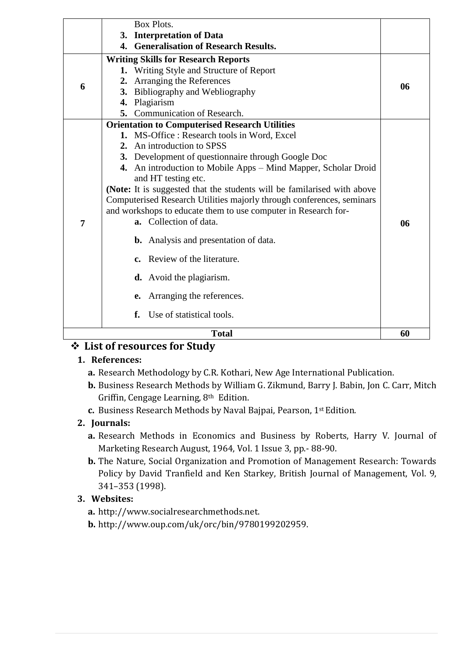|   | Box Plots.                                                                                                                                       |    |
|---|--------------------------------------------------------------------------------------------------------------------------------------------------|----|
|   | 3. Interpretation of Data                                                                                                                        |    |
|   | 4. Generalisation of Research Results.                                                                                                           |    |
|   | <b>Writing Skills for Research Reports</b>                                                                                                       |    |
|   | Writing Style and Structure of Report<br>1.                                                                                                      |    |
| 6 | Arranging the References<br>2.                                                                                                                   | 06 |
|   | 3. Bibliography and Webliography                                                                                                                 |    |
|   | 4.<br>Plagiarism                                                                                                                                 |    |
|   | 5. Communication of Research.                                                                                                                    |    |
|   | <b>Orientation to Computerised Research Utilities</b>                                                                                            |    |
|   | 1. MS-Office: Research tools in Word, Excel                                                                                                      |    |
|   | 2. An introduction to SPSS                                                                                                                       |    |
|   | 3. Development of questionnaire through Google Doc                                                                                               |    |
|   | 4. An introduction to Mobile Apps – Mind Mapper, Scholar Droid<br>and HT testing etc.                                                            |    |
|   | (Note: It is suggested that the students will be familarised with above<br>Computerised Research Utilities majorly through conferences, seminars |    |
|   | and workshops to educate them to use computer in Research for-                                                                                   |    |
| 7 | a. Collection of data.                                                                                                                           | 06 |
|   | <b>b.</b> Analysis and presentation of data.                                                                                                     |    |
|   | c. Review of the literature.                                                                                                                     |    |
|   | <b>d.</b> Avoid the plagiarism.                                                                                                                  |    |
|   | Arranging the references.<br>e.                                                                                                                  |    |
|   | Use of statistical tools.<br>f.                                                                                                                  |    |
|   | <b>Total</b>                                                                                                                                     | 60 |

# **List of resources for Study**

## **1. References:**

- **a.** Research Methodology by C.R. Kothari, New Age International Publication.
- **b.** Business Research Methods by William G. Zikmund, Barry J. Babin, Jon C. Carr, Mitch Griffin, Cengage Learning, 8th Edition.
- **c.** Business Research Methods by Naval Bajpai, Pearson, 1st Edition.

#### **2. Journals:**

- **a.** Research Methods in Economics and Business by Roberts, Harry V. Journal of Marketing Research August, 1964, Vol. 1 Issue 3, pp.- 88-90.
- **b.** The Nature, Social Organization and Promotion of Management Research: Towards Policy by David Tranfield and Ken Starkey, British Journal of Management, Vol. 9, 341–353 (1998).

## **3. Websites:**

- **a.** http://www.socialresearchmethods.net.
- **b.** http://www.oup.com/uk/orc/bin/9780199202959.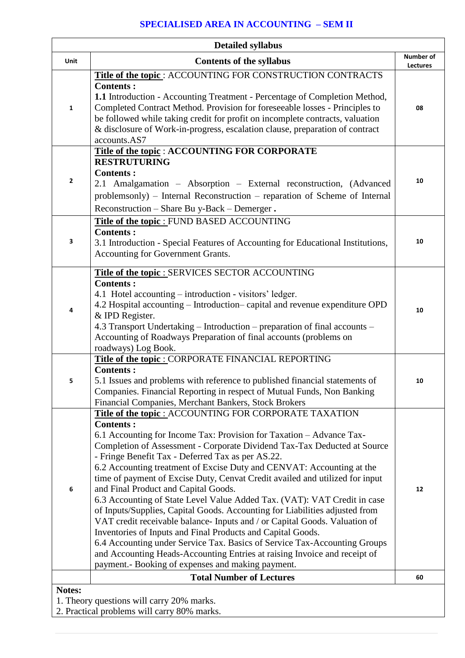## **SPECIALISED AREA IN ACCOUNTING – SEM II**

| <b>Detailed syllabus</b> |                                                                                                                                                                                                                                                                                                                                                                                                                                                                                                                                                                                                                                                                                                                                                                                                                                                                                                                                                                                                             |                       |
|--------------------------|-------------------------------------------------------------------------------------------------------------------------------------------------------------------------------------------------------------------------------------------------------------------------------------------------------------------------------------------------------------------------------------------------------------------------------------------------------------------------------------------------------------------------------------------------------------------------------------------------------------------------------------------------------------------------------------------------------------------------------------------------------------------------------------------------------------------------------------------------------------------------------------------------------------------------------------------------------------------------------------------------------------|-----------------------|
| Unit                     | <b>Contents of the syllabus</b>                                                                                                                                                                                                                                                                                                                                                                                                                                                                                                                                                                                                                                                                                                                                                                                                                                                                                                                                                                             | Number of<br>Lectures |
| 1                        | Title of the topic: ACCOUNTING FOR CONSTRUCTION CONTRACTS<br><b>Contents:</b><br>1.1 Introduction - Accounting Treatment - Percentage of Completion Method,<br>Completed Contract Method. Provision for foreseeable losses - Principles to<br>be followed while taking credit for profit on incomplete contracts, valuation<br>& disclosure of Work-in-progress, escalation clause, preparation of contract<br>accounts.AS7                                                                                                                                                                                                                                                                                                                                                                                                                                                                                                                                                                                 | 08                    |
| 2                        | Title of the topic : ACCOUNTING FOR CORPORATE<br><b>RESTRUTURING</b><br><b>Contents:</b><br>2.1 Amalgamation - Absorption - External reconstruction, (Advanced<br>problemsonly) – Internal Reconstruction – reparation of Scheme of Internal<br>Reconstruction - Share Bu y-Back - Demerger.                                                                                                                                                                                                                                                                                                                                                                                                                                                                                                                                                                                                                                                                                                                | 10                    |
| З                        | <b>Title of the topic: FUND BASED ACCOUNTING</b><br><b>Contents:</b><br>3.1 Introduction - Special Features of Accounting for Educational Institutions,<br>Accounting for Government Grants.                                                                                                                                                                                                                                                                                                                                                                                                                                                                                                                                                                                                                                                                                                                                                                                                                | 10                    |
| 4                        | <b>Title of the topic: SERVICES SECTOR ACCOUNTING</b><br><b>Contents:</b><br>4.1 Hotel accounting – introduction - visitors' ledger.<br>4.2 Hospital accounting – Introduction– capital and revenue expenditure OPD<br>& IPD Register.<br>4.3 Transport Undertaking – Introduction – preparation of final accounts –<br>Accounting of Roadways Preparation of final accounts (problems on<br>roadways) Log Book.                                                                                                                                                                                                                                                                                                                                                                                                                                                                                                                                                                                            | 10                    |
| 5                        | Title of the topic : CORPORATE FINANCIAL REPORTING<br><b>Contents:</b><br>5.1 Issues and problems with reference to published financial statements of<br>Companies. Financial Reporting in respect of Mutual Funds, Non Banking<br>Financial Companies, Merchant Bankers, Stock Brokers                                                                                                                                                                                                                                                                                                                                                                                                                                                                                                                                                                                                                                                                                                                     | 10                    |
| 6                        | Title of the topic : ACCOUNTING FOR CORPORATE TAXATION<br><b>Contents:</b><br>6.1 Accounting for Income Tax: Provision for Taxation – Advance Tax-<br>Completion of Assessment - Corporate Dividend Tax-Tax Deducted at Source<br>- Fringe Benefit Tax - Deferred Tax as per AS.22.<br>6.2 Accounting treatment of Excise Duty and CENVAT: Accounting at the<br>time of payment of Excise Duty, Cenvat Credit availed and utilized for input<br>and Final Product and Capital Goods.<br>6.3 Accounting of State Level Value Added Tax. (VAT): VAT Credit in case<br>of Inputs/Supplies, Capital Goods. Accounting for Liabilities adjusted from<br>VAT credit receivable balance- Inputs and / or Capital Goods. Valuation of<br>Inventories of Inputs and Final Products and Capital Goods.<br>6.4 Accounting under Service Tax. Basics of Service Tax-Accounting Groups<br>and Accounting Heads-Accounting Entries at raising Invoice and receipt of<br>payment.- Booking of expenses and making payment. | 12                    |
|                          | <b>Total Number of Lectures</b>                                                                                                                                                                                                                                                                                                                                                                                                                                                                                                                                                                                                                                                                                                                                                                                                                                                                                                                                                                             | 60                    |
| Notes:                   | 1. Theory questions will carry 20% marks.<br>2. Departical problems will covey 2004 more                                                                                                                                                                                                                                                                                                                                                                                                                                                                                                                                                                                                                                                                                                                                                                                                                                                                                                                    |                       |

<sup>2.</sup> Practical problems will carry 80% marks.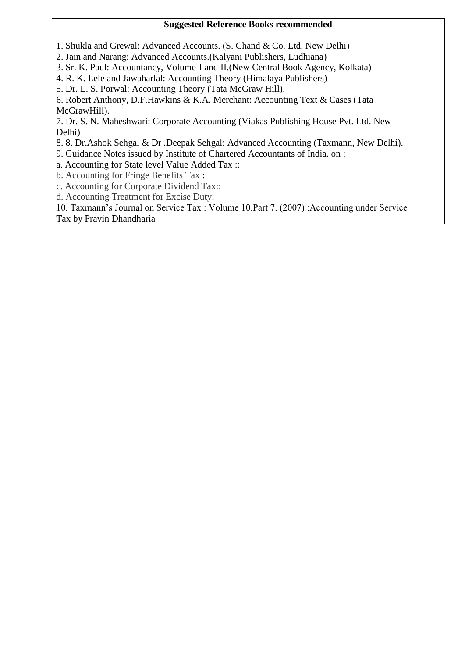#### **Suggested Reference Books recommended**

1. Shukla and Grewal: Advanced Accounts. (S. Chand & Co. Ltd. New Delhi)

2. Jain and Narang: Advanced Accounts.(Kalyani Publishers, Ludhiana)

3. Sr. K. Paul: Accountancy, Volume-I and II.(New Central Book Agency, Kolkata)

4. R. K. Lele and Jawaharlal: Accounting Theory (Himalaya Publishers)

5. Dr. L. S. Porwal: Accounting Theory (Tata McGraw Hill).

6. Robert Anthony, D.F.Hawkins & K.A. Merchant: Accounting Text & Cases (Tata McGrawHill).

7. Dr. S. N. Maheshwari: Corporate Accounting (Viakas Publishing House Pvt. Ltd. New Delhi)

8. 8. Dr.Ashok Sehgal & Dr .Deepak Sehgal: Advanced Accounting (Taxmann, New Delhi).

9. Guidance Notes issued by Institute of Chartered Accountants of India. on :

a. Accounting for State level Value Added Tax ::

b. Accounting for Fringe Benefits Tax :

c. Accounting for Corporate Dividend Tax::

d. Accounting Treatment for Excise Duty:

10. Taxmann's Journal on Service Tax : Volume 10.Part 7. (2007) :Accounting under Service Tax by Pravin Dhandharia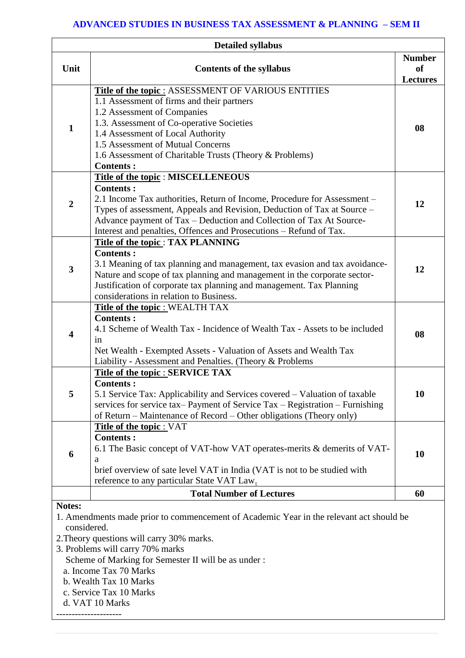#### **ADVANCED STUDIES IN BUSINESS TAX ASSESSMENT & PLANNING – SEM II**

| <b>Detailed syllabus</b> |                                                                                                                                                                                                                                                                                                                                                            |                                        |
|--------------------------|------------------------------------------------------------------------------------------------------------------------------------------------------------------------------------------------------------------------------------------------------------------------------------------------------------------------------------------------------------|----------------------------------------|
| Unit                     | <b>Contents of the syllabus</b>                                                                                                                                                                                                                                                                                                                            | <b>Number</b><br>of<br><b>Lectures</b> |
| $\mathbf{1}$             | <b>Title of the topic: ASSESSMENT OF VARIOUS ENTITIES</b><br>1.1 Assessment of firms and their partners<br>1.2 Assessment of Companies<br>1.3. Assessment of Co-operative Societies<br>1.4 Assessment of Local Authority<br>1.5 Assessment of Mutual Concerns<br>1.6 Assessment of Charitable Trusts (Theory & Problems)<br><b>Contents:</b>               | 08                                     |
| $\overline{2}$           | Title of the topic : MISCELLENEOUS<br><b>Contents:</b><br>2.1 Income Tax authorities, Return of Income, Procedure for Assessment -<br>Types of assessment, Appeals and Revision, Deduction of Tax at Source -<br>Advance payment of Tax - Deduction and Collection of Tax At Source-<br>Interest and penalties, Offences and Prosecutions - Refund of Tax. | 12                                     |
| $\overline{\mathbf{3}}$  | Title of the topic: TAX PLANNING<br><b>Contents:</b><br>3.1 Meaning of tax planning and management, tax evasion and tax avoidance-<br>Nature and scope of tax planning and management in the corporate sector-<br>Justification of corporate tax planning and management. Tax Planning<br>considerations in relation to Business.                          | 12                                     |
| $\overline{\mathbf{4}}$  | <b>Title of the topic: WEALTH TAX</b><br><b>Contents:</b><br>4.1 Scheme of Wealth Tax - Incidence of Wealth Tax - Assets to be included<br>in<br>Net Wealth - Exempted Assets - Valuation of Assets and Wealth Tax<br>Liability - Assessment and Penalties. (Theory & Problems                                                                             | 08                                     |
| 5                        | <b>Title of the topic : SERVICE TAX</b><br><b>Contents:</b><br>5.1 Service Tax: Applicability and Services covered – Valuation of taxable<br>services for service tax– Payment of Service Tax – Registration – Furnishing<br>of Return – Maintenance of Record – Other obligations (Theory only)                                                           | 10                                     |
| 6                        | <b>Title of the topic : VAT</b><br><b>Contents:</b><br>6.1 The Basic concept of VAT-how VAT operates-merits & demerits of VAT-<br>a<br>brief overview of sate level VAT in India (VAT is not to be studied with<br>reference to any particular State VAT Law.                                                                                              | 10                                     |
|                          | <b>Total Number of Lectures</b>                                                                                                                                                                                                                                                                                                                            | 60                                     |
| Notes:<br>considered.    | 1. Amendments made prior to commencement of Academic Year in the relevant act should be<br>2. Theory questions will carry 30% marks.<br>3. Problems will carry 70% marks<br>Scheme of Marking for Semester II will be as under :<br>a. Income Tax 70 Marks                                                                                                 |                                        |

- b. Wealth Tax 10 Marks
- c. Service Tax 10 Marks
- d. VAT 10 Marks
- ---------------------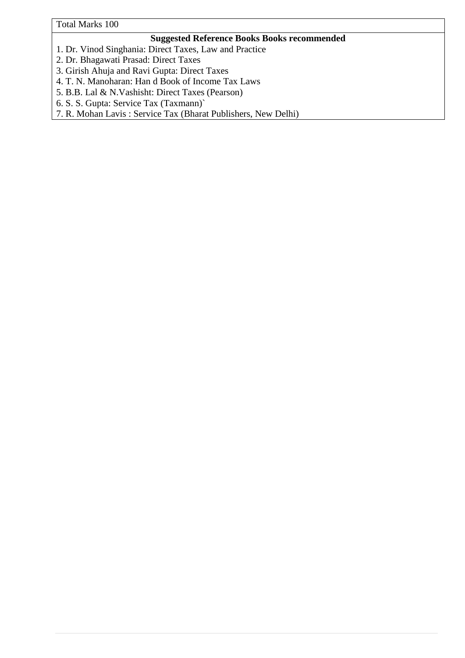Total Marks 100

#### **Suggested Reference Books Books recommended**

- 1. Dr. Vinod Singhania: Direct Taxes, Law and Practice
- 2. Dr. Bhagawati Prasad: Direct Taxes
- 3. Girish Ahuja and Ravi Gupta: Direct Taxes
- 4. T. N. Manoharan: Han d Book of Income Tax Laws
- 5. B.B. Lal & N.Vashisht: Direct Taxes (Pearson)
- 6. S. S. Gupta: Service Tax (Taxmann)`
- 7. R. Mohan Lavis : Service Tax (Bharat Publishers, New Delhi)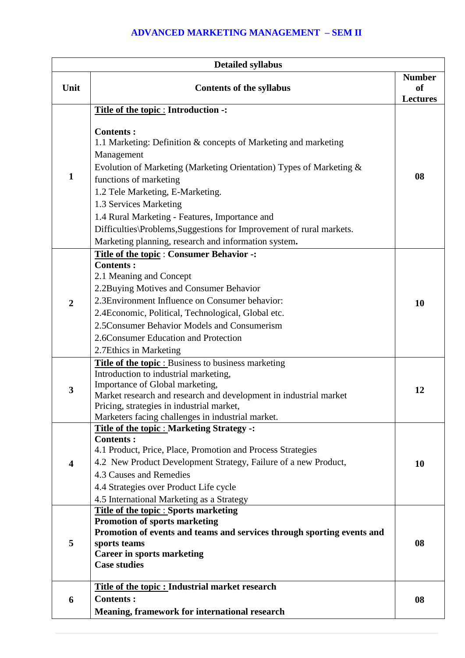## **ADVANCED MARKETING MANAGEMENT – SEM II**

|                         | <b>Detailed syllabus</b>                                                                                                                                                                                                                                                                                                                                                                                                                                                                  |                                                   |
|-------------------------|-------------------------------------------------------------------------------------------------------------------------------------------------------------------------------------------------------------------------------------------------------------------------------------------------------------------------------------------------------------------------------------------------------------------------------------------------------------------------------------------|---------------------------------------------------|
| Unit                    | <b>Contents of the syllabus</b>                                                                                                                                                                                                                                                                                                                                                                                                                                                           | <b>Number</b><br><sub>of</sub><br><b>Lectures</b> |
| $\mathbf{1}$            | Title of the topic : Introduction -:<br><b>Contents:</b><br>1.1 Marketing: Definition & concepts of Marketing and marketing<br>Management<br>Evolution of Marketing (Marketing Orientation) Types of Marketing &<br>functions of marketing<br>1.2 Tele Marketing, E-Marketing.<br>1.3 Services Marketing<br>1.4 Rural Marketing - Features, Importance and<br>Difficulties\Problems,Suggestions for Improvement of rural markets.<br>Marketing planning, research and information system. | 08                                                |
| $\overline{2}$          | Title of the topic: Consumer Behavior -:<br><b>Contents:</b><br>2.1 Meaning and Concept<br>2.2Buying Motives and Consumer Behavior<br>2.3 Environment Influence on Consumer behavior:<br>2.4 Economic, Political, Technological, Global etc.<br>2.5 Consumer Behavior Models and Consumerism<br>2.6Consumer Education and Protection<br>2.7Ethics in Marketing                                                                                                                            | 10                                                |
| $\mathbf{3}$            | <b>Title of the topic:</b> Business to business marketing<br>Introduction to industrial marketing,<br>Importance of Global marketing,<br>Market research and research and development in industrial market<br>Pricing, strategies in industrial market,<br>Marketers facing challenges in industrial market.                                                                                                                                                                              | 12                                                |
| $\overline{\mathbf{4}}$ | <b>Title of the topic : Marketing Strategy -:</b><br><b>Contents:</b><br>4.1 Product, Price, Place, Promotion and Process Strategies<br>4.2 New Product Development Strategy, Failure of a new Product,<br>4.3 Causes and Remedies<br>4.4 Strategies over Product Life cycle<br>4.5 International Marketing as a Strategy                                                                                                                                                                 | 10                                                |
| 5                       | <b>Title of the topic: Sports marketing</b><br><b>Promotion of sports marketing</b><br>Promotion of events and teams and services through sporting events and<br>sports teams<br><b>Career in sports marketing</b><br><b>Case studies</b>                                                                                                                                                                                                                                                 | 08                                                |
| 6                       | Title of the topic : Industrial market research<br><b>Contents:</b><br><b>Meaning, framework for international research</b>                                                                                                                                                                                                                                                                                                                                                               | 08                                                |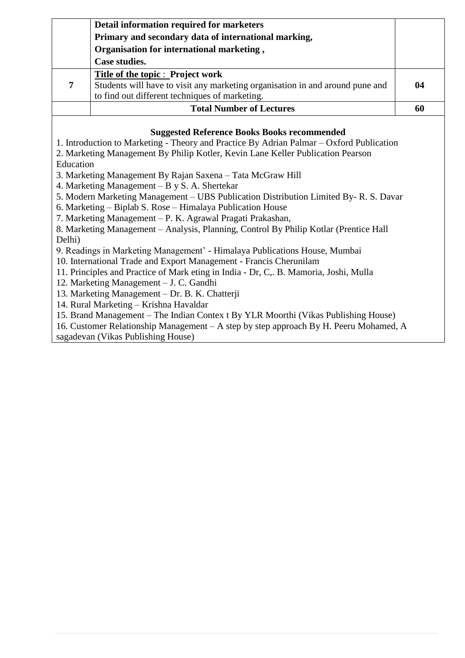|   | Detail information required for marketers                                     |    |
|---|-------------------------------------------------------------------------------|----|
|   | Primary and secondary data of international marking,                          |    |
|   | Organisation for international marketing,                                     |    |
|   | Case studies.                                                                 |    |
|   | Title of the topic : Project work                                             |    |
| 7 | Students will have to visit any marketing organisation in and around pune and | 04 |
|   | to find out different techniques of marketing.                                |    |
|   | <b>Total Number of Lectures</b>                                               | 60 |

#### **Suggested Reference Books Books recommended**

1. Introduction to Marketing - Theory and Practice By Adrian Palmar – Oxford Publication

- 2. Marketing Management By Philip Kotler, Kevin Lane Keller Publication Pearson
- Education
- 3. Marketing Management By Rajan Saxena Tata McGraw Hill

4. Marketing Management – B y S. A. Shertekar

- 5. Modern Marketing Management UBS Publication Distribution Limited By- R. S. Davar
- 6. Marketing Biplab S. Rose Himalaya Publication House
- 7. Marketing Management P. K. Agrawal Pragati Prakashan,

8. Marketing Management – Analysis, Planning, Control By Philip Kotlar (Prentice Hall Delhi)

9. Readings in Marketing Management' - Himalaya Publications House, Mumbai

- 10. International Trade and Export Management Francis Cherunilam
- 11. Principles and Practice of Mark eting in India Dr, C,. B. Mamoria, Joshi, Mulla
- 12. Marketing Management J. C. Gandhi
- 13. Marketing Management Dr. B. K. Chatterji
- 14. Rural Marketing Krishna Havaldar
- 15. Brand Management The Indian Contex t By YLR Moorthi (Vikas Publishing House)

16. Customer Relationship Management – A step by step approach By H. Peeru Mohamed, A sagadevan (Vikas Publishing House)